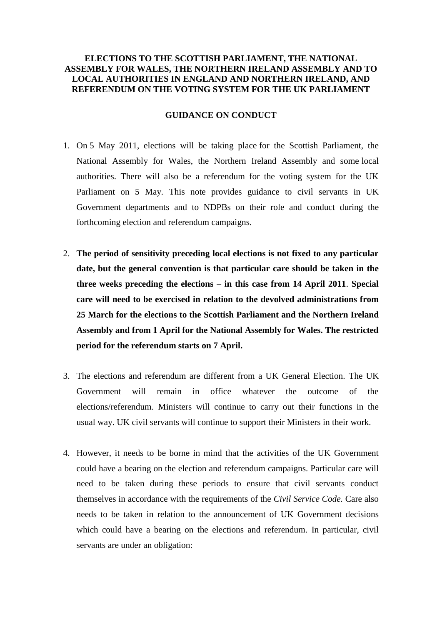# **ELECTIONS TO THE SCOTTISH PARLIAMENT, THE NATIONAL ASSEMBLY FOR WALES, THE NORTHERN IRELAND ASSEMBLY AND TO LOCAL AUTHORITIES IN ENGLAND AND NORTHERN IRELAND, AND REFERENDUM ON THE VOTING SYSTEM FOR THE UK PARLIAMENT**

#### **GUIDANCE ON CONDUCT**

- 1. On 5 May 2011, elections will be taking place for the Scottish Parliament, the National Assembly for Wales, the Northern Ireland Assembly and some local authorities. There will also be a referendum for the voting system for the UK Parliament on 5 May. This note provides guidance to civil servants in UK Government departments and to NDPBs on their role and conduct during the forthcoming election and referendum campaigns.
- 2. **The period of sensitivity preceding local elections is not fixed to any particular date, but the general convention is that particular care should be taken in the three weeks preceding the elections – in this case from 14 April 2011**. **Special care will need to be exercised in relation to the devolved administrations from 25 March for the elections to the Scottish Parliament and the Northern Ireland Assembly and from 1 April for the National Assembly for Wales. The restricted period for the referendum starts on 7 April.**
- 3. The elections and referendum are different from a UK General Election. The UK Government will remain in office whatever the outcome of the elections/referendum. Ministers will continue to carry out their functions in the usual way. UK civil servants will continue to support their Ministers in their work.
- 4. However, it needs to be borne in mind that the activities of the UK Government could have a bearing on the election and referendum campaigns. Particular care will need to be taken during these periods to ensure that civil servants conduct themselves in accordance with the requirements of the *Civil Service Code.* Care also needs to be taken in relation to the announcement of UK Government decisions which could have a bearing on the elections and referendum. In particular, civil servants are under an obligation: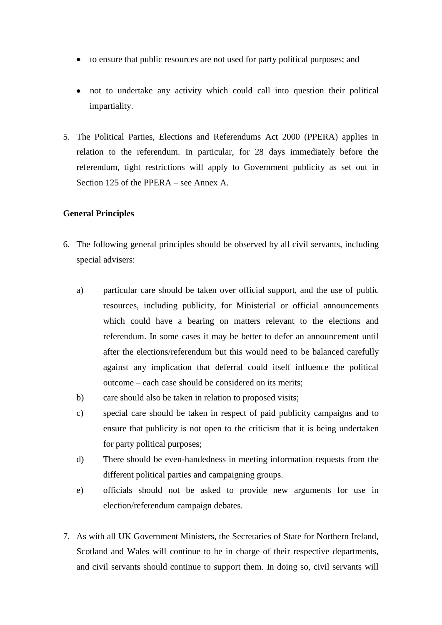- to ensure that public resources are not used for party political purposes; and
- not to undertake any activity which could call into question their political impartiality.
- 5. The Political Parties, Elections and Referendums Act 2000 (PPERA) applies in relation to the referendum. In particular, for 28 days immediately before the referendum, tight restrictions will apply to Government publicity as set out in Section 125 of the PPERA – see Annex A.

# **General Principles**

- 6. The following general principles should be observed by all civil servants, including special advisers:
	- a) particular care should be taken over official support, and the use of public resources, including publicity, for Ministerial or official announcements which could have a bearing on matters relevant to the elections and referendum. In some cases it may be better to defer an announcement until after the elections/referendum but this would need to be balanced carefully against any implication that deferral could itself influence the political outcome – each case should be considered on its merits;
	- b) care should also be taken in relation to proposed visits;
	- c) special care should be taken in respect of paid publicity campaigns and to ensure that publicity is not open to the criticism that it is being undertaken for party political purposes;
	- d) There should be even-handedness in meeting information requests from the different political parties and campaigning groups.
	- e) officials should not be asked to provide new arguments for use in election/referendum campaign debates.
- 7. As with all UK Government Ministers, the Secretaries of State for Northern Ireland, Scotland and Wales will continue to be in charge of their respective departments, and civil servants should continue to support them. In doing so, civil servants will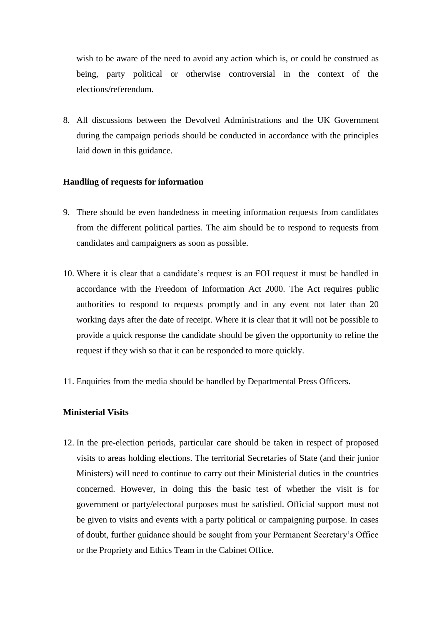wish to be aware of the need to avoid any action which is, or could be construed as being, party political or otherwise controversial in the context of the elections/referendum.

8. All discussions between the Devolved Administrations and the UK Government during the campaign periods should be conducted in accordance with the principles laid down in this guidance.

# **Handling of requests for information**

- 9. There should be even handedness in meeting information requests from candidates from the different political parties. The aim should be to respond to requests from candidates and campaigners as soon as possible.
- 10. Where it is clear that a candidate's request is an FOI request it must be handled in accordance with the Freedom of Information Act 2000. The Act requires public authorities to respond to requests promptly and in any event not later than 20 working days after the date of receipt. Where it is clear that it will not be possible to provide a quick response the candidate should be given the opportunity to refine the request if they wish so that it can be responded to more quickly.
- 11. Enquiries from the media should be handled by Departmental Press Officers.

# **Ministerial Visits**

12. In the pre-election periods, particular care should be taken in respect of proposed visits to areas holding elections. The territorial Secretaries of State (and their junior Ministers) will need to continue to carry out their Ministerial duties in the countries concerned. However, in doing this the basic test of whether the visit is for government or party/electoral purposes must be satisfied. Official support must not be given to visits and events with a party political or campaigning purpose. In cases of doubt, further guidance should be sought from your Permanent Secretary's Office or the Propriety and Ethics Team in the Cabinet Office.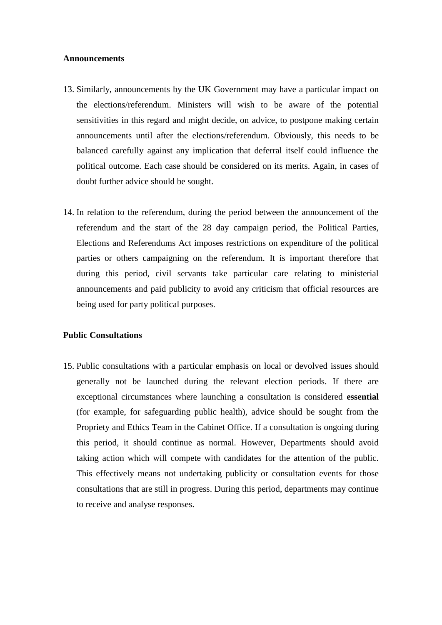### **Announcements**

- 13. Similarly, announcements by the UK Government may have a particular impact on the elections/referendum. Ministers will wish to be aware of the potential sensitivities in this regard and might decide, on advice, to postpone making certain announcements until after the elections/referendum. Obviously, this needs to be balanced carefully against any implication that deferral itself could influence the political outcome. Each case should be considered on its merits. Again, in cases of doubt further advice should be sought.
- 14. In relation to the referendum, during the period between the announcement of the referendum and the start of the 28 day campaign period, the Political Parties, Elections and Referendums Act imposes restrictions on expenditure of the political parties or others campaigning on the referendum. It is important therefore that during this period, civil servants take particular care relating to ministerial announcements and paid publicity to avoid any criticism that official resources are being used for party political purposes.

### **Public Consultations**

15. Public consultations with a particular emphasis on local or devolved issues should generally not be launched during the relevant election periods. If there are exceptional circumstances where launching a consultation is considered **essential** (for example, for safeguarding public health), advice should be sought from the Propriety and Ethics Team in the Cabinet Office. If a consultation is ongoing during this period, it should continue as normal. However, Departments should avoid taking action which will compete with candidates for the attention of the public. This effectively means not undertaking publicity or consultation events for those consultations that are still in progress. During this period, departments may continue to receive and analyse responses.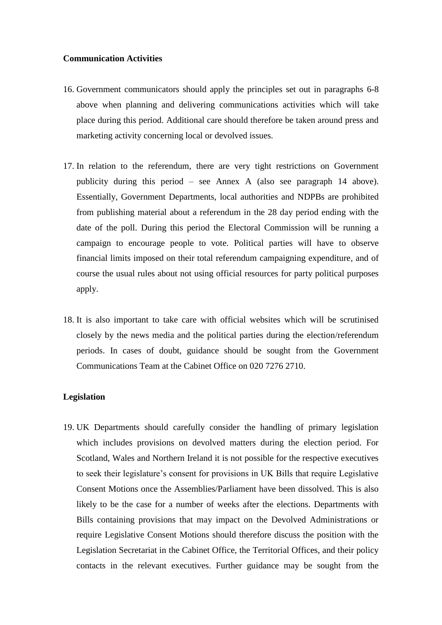### **Communication Activities**

- 16. Government communicators should apply the principles set out in paragraphs 6-8 above when planning and delivering communications activities which will take place during this period. Additional care should therefore be taken around press and marketing activity concerning local or devolved issues.
- 17. In relation to the referendum, there are very tight restrictions on Government publicity during this period – see Annex A (also see paragraph 14 above). Essentially, Government Departments, local authorities and NDPBs are prohibited from publishing material about a referendum in the 28 day period ending with the date of the poll. During this period the Electoral Commission will be running a campaign to encourage people to vote. Political parties will have to observe financial limits imposed on their total referendum campaigning expenditure, and of course the usual rules about not using official resources for party political purposes apply.
- 18. It is also important to take care with official websites which will be scrutinised closely by the news media and the political parties during the election/referendum periods. In cases of doubt, guidance should be sought from the Government Communications Team at the Cabinet Office on 020 7276 2710.

# **Legislation**

19. UK Departments should carefully consider the handling of primary legislation which includes provisions on devolved matters during the election period. For Scotland, Wales and Northern Ireland it is not possible for the respective executives to seek their legislature's consent for provisions in UK Bills that require Legislative Consent Motions once the Assemblies/Parliament have been dissolved. This is also likely to be the case for a number of weeks after the elections. Departments with Bills containing provisions that may impact on the Devolved Administrations or require Legislative Consent Motions should therefore discuss the position with the Legislation Secretariat in the Cabinet Office, the Territorial Offices, and their policy contacts in the relevant executives. Further guidance may be sought from the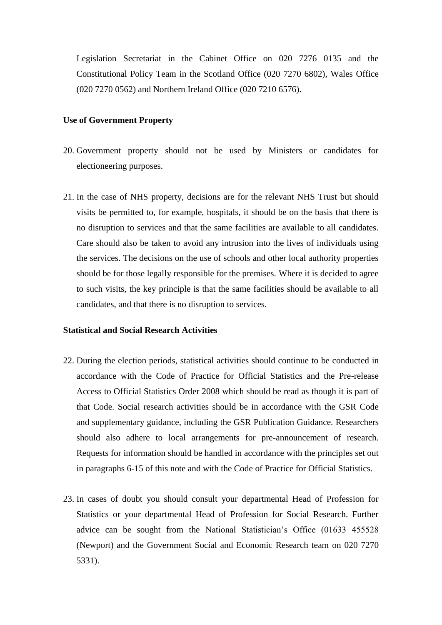Legislation Secretariat in the Cabinet Office on 020 7276 0135 and the Constitutional Policy Team in the Scotland Office (020 7270 6802), Wales Office (020 7270 0562) and Northern Ireland Office (020 7210 6576).

#### **Use of Government Property**

- 20. Government property should not be used by Ministers or candidates for electioneering purposes.
- 21. In the case of NHS property, decisions are for the relevant NHS Trust but should visits be permitted to, for example, hospitals, it should be on the basis that there is no disruption to services and that the same facilities are available to all candidates. Care should also be taken to avoid any intrusion into the lives of individuals using the services. The decisions on the use of schools and other local authority properties should be for those legally responsible for the premises. Where it is decided to agree to such visits, the key principle is that the same facilities should be available to all candidates, and that there is no disruption to services.

### **Statistical and Social Research Activities**

- 22. During the election periods, statistical activities should continue to be conducted in accordance with the Code of Practice for Official Statistics and the Pre-release Access to Official Statistics Order 2008 which should be read as though it is part of that Code. Social research activities should be in accordance with the GSR Code and supplementary guidance, including the GSR Publication Guidance. Researchers should also adhere to local arrangements for pre-announcement of research. Requests for information should be handled in accordance with the principles set out in paragraphs 6-15 of this note and with the Code of Practice for Official Statistics.
- 23. In cases of doubt you should consult your departmental Head of Profession for Statistics or your departmental Head of Profession for Social Research. Further advice can be sought from the National Statistician's Office (01633 455528 (Newport) and the Government Social and Economic Research team on 020 7270 5331).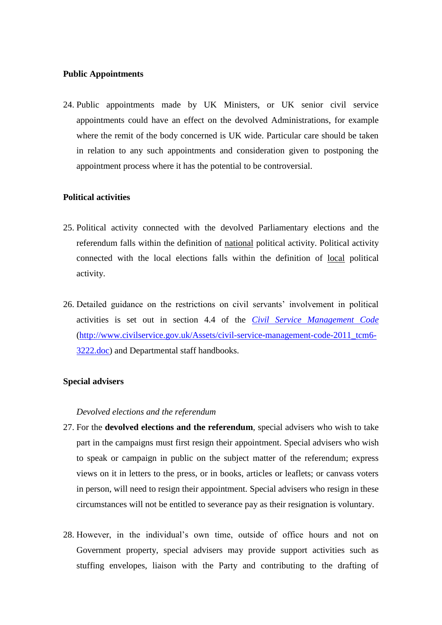#### **Public Appointments**

24. Public appointments made by UK Ministers, or UK senior civil service appointments could have an effect on the devolved Administrations, for example where the remit of the body concerned is UK wide. Particular care should be taken in relation to any such appointments and consideration given to postponing the appointment process where it has the potential to be controversial.

### **Political activities**

- 25. Political activity connected with the devolved Parliamentary elections and the referendum falls within the definition of national political activity. Political activity connected with the local elections falls within the definition of local political activity.
- 26. Detailed guidance on the restrictions on civil servants' involvement in political activities is set out in section 4.4 of the *[Civil Service Management Code](http://www.civilservice.gov.uk/Assets/civil-service-management-code-2011_tcm6-3222.doc)* [\(http://www.civilservice.gov.uk/Assets/civil-service-management-code-2011\\_tcm6-](http://www.civilservice.gov.uk/Assets/civil-service-management-code-2011_tcm6-3222.doc) [3222.doc\)](http://www.civilservice.gov.uk/Assets/civil-service-management-code-2011_tcm6-3222.doc) and Departmental staff handbooks.

#### **Special advisers**

#### *Devolved elections and the referendum*

- 27. For the **devolved elections and the referendum**, special advisers who wish to take part in the campaigns must first resign their appointment. Special advisers who wish to speak or campaign in public on the subject matter of the referendum; express views on it in letters to the press, or in books, articles or leaflets; or canvass voters in person, will need to resign their appointment. Special advisers who resign in these circumstances will not be entitled to severance pay as their resignation is voluntary.
- 28. However, in the individual's own time, outside of office hours and not on Government property, special advisers may provide support activities such as stuffing envelopes, liaison with the Party and contributing to the drafting of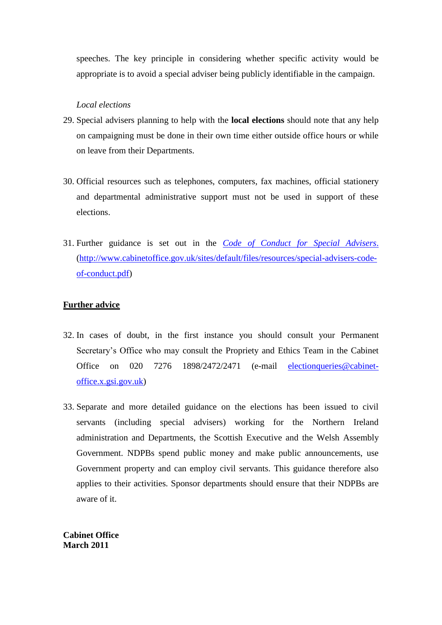speeches. The key principle in considering whether specific activity would be appropriate is to avoid a special adviser being publicly identifiable in the campaign.

### *Local elections*

- 29. Special advisers planning to help with the **local elections** should note that any help on campaigning must be done in their own time either outside office hours or while on leave from their Departments.
- 30. Official resources such as telephones, computers, fax machines, official stationery and departmental administrative support must not be used in support of these elections.
- 31. Further guidance is set out in the *Code [of Conduct for Special Advisers](http://www.cabinetoffice.gov.uk/sites/default/files/resources/special-advisers-code-of-conduct.pdf)*. [\(http://www.cabinetoffice.gov.uk/sites/default/files/resources/special-advisers-code](http://www.cabinetoffice.gov.uk/sites/default/files/resources/special-advisers-code-of-conduct.pdf)[of-conduct.pdf\)](http://www.cabinetoffice.gov.uk/sites/default/files/resources/special-advisers-code-of-conduct.pdf)

# **Further advice**

- 32. In cases of doubt, in the first instance you should consult your Permanent Secretary's Office who may consult the Propriety and Ethics Team in the Cabinet Office on 020 7276 1898/2472/2471 (e-mail [electionqueries@cabinet](mailto:electionqueries@cabinet-office.x.gsi.gov.uk)[office.x.gsi.gov.uk\)](mailto:electionqueries@cabinet-office.x.gsi.gov.uk)
- 33. Separate and more detailed guidance on the elections has been issued to civil servants (including special advisers) working for the Northern Ireland administration and Departments, the Scottish Executive and the Welsh Assembly Government. NDPBs spend public money and make public announcements, use Government property and can employ civil servants. This guidance therefore also applies to their activities. Sponsor departments should ensure that their NDPBs are aware of it.

**Cabinet Office March 2011**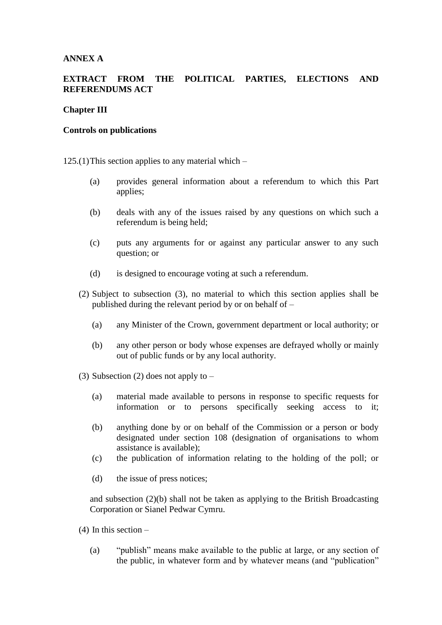# **ANNEX A**

# **EXTRACT FROM THE POLITICAL PARTIES, ELECTIONS AND REFERENDUMS ACT**

# **Chapter III**

#### **Controls on publications**

 $125(1)$ This section applies to any material which –

- (a) provides general information about a referendum to which this Part applies;
- (b) deals with any of the issues raised by any questions on which such a referendum is being held;
- (c) puts any arguments for or against any particular answer to any such question; or
- (d) is designed to encourage voting at such a referendum.
- (2) Subject to subsection (3), no material to which this section applies shall be published during the relevant period by or on behalf of –
	- (a) any Minister of the Crown, government department or local authority; or
	- (b) any other person or body whose expenses are defrayed wholly or mainly out of public funds or by any local authority.
- (3) Subsection (2) does not apply to  $-$ 
	- (a) material made available to persons in response to specific requests for information or to persons specifically seeking access to it;
	- (b) anything done by or on behalf of the Commission or a person or body designated under section 108 (designation of organisations to whom assistance is available);
	- (c) the publication of information relating to the holding of the poll; or
	- (d) the issue of press notices;

and subsection (2)(b) shall not be taken as applying to the British Broadcasting Corporation or Sianel Pedwar Cymru.

- (4) In this section
	- (a) "publish" means make available to the public at large, or any section of the public, in whatever form and by whatever means (and "publication"